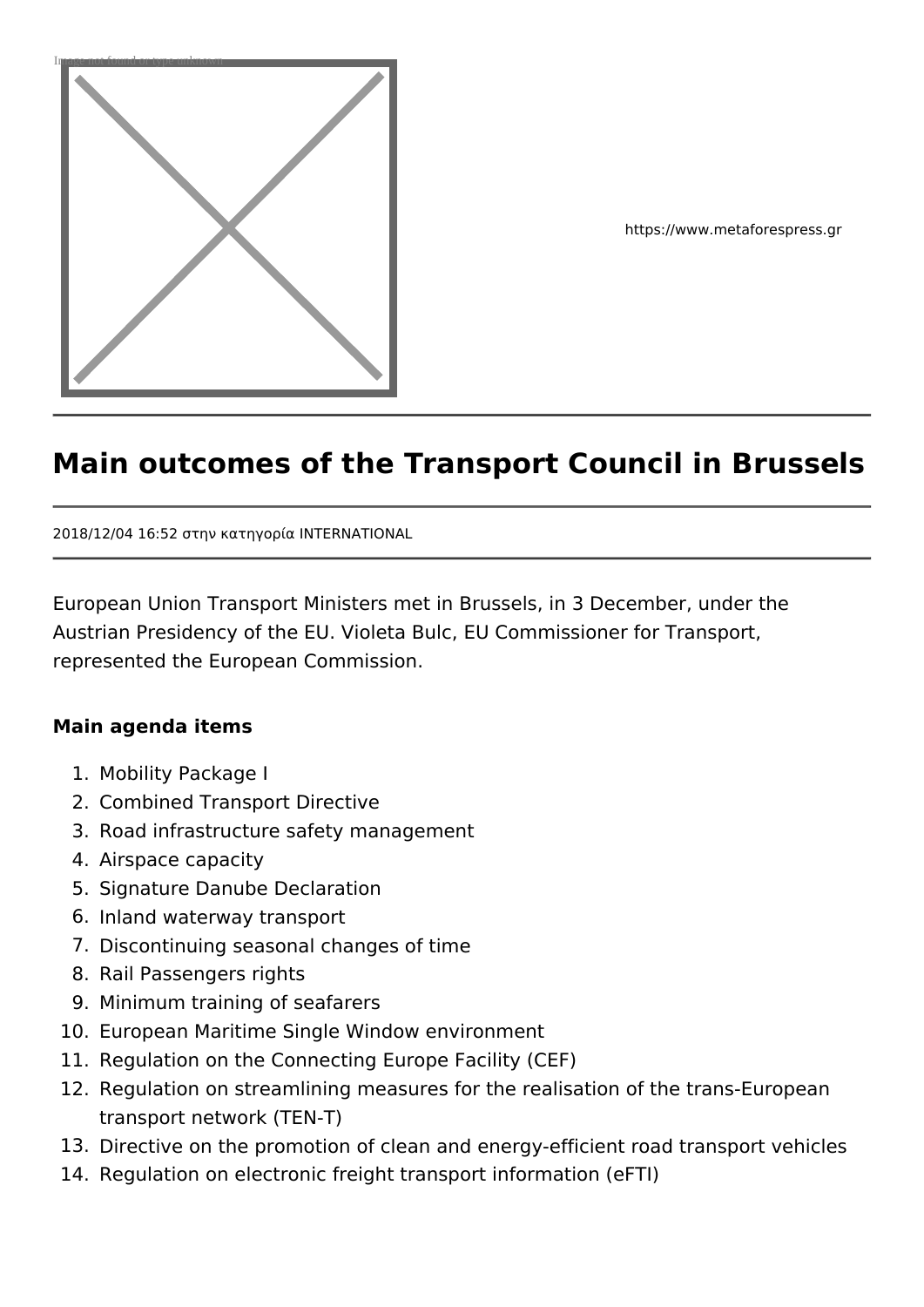

https://www.metaforespress.gr

# **Main outcomes of the Transport Council in Brussels**

2018/12/04 16:52 στην κατηγορία INTERNATIONAL

European Union Transport Ministers met in Brussels, in 3 December, under the Austrian Presidency of the EU. Violeta Bulc, EU Commissioner for Transport, represented the European Commission.

#### **Main agenda items**

- 1. Mobility Package I
- 2. Combined Transport Directive
- 3. Road infrastructure safety management
- 4. Airspace capacity
- 5. Signature Danube Declaration
- 6. Inland waterway transport
- 7. Discontinuing seasonal changes of time
- 8. Rail Passengers rights
- 9. Minimum training of seafarers
- 10. European Maritime Single Window environment
- 11. Regulation on the Connecting Europe Facility (CEF)
- 12. Regulation on streamlining measures for the realisation of the trans-European transport network (TEN-T)
- 13. Directive on the promotion of clean and energy-efficient road transport vehicles
- 14. Regulation on electronic freight transport information (eFTI)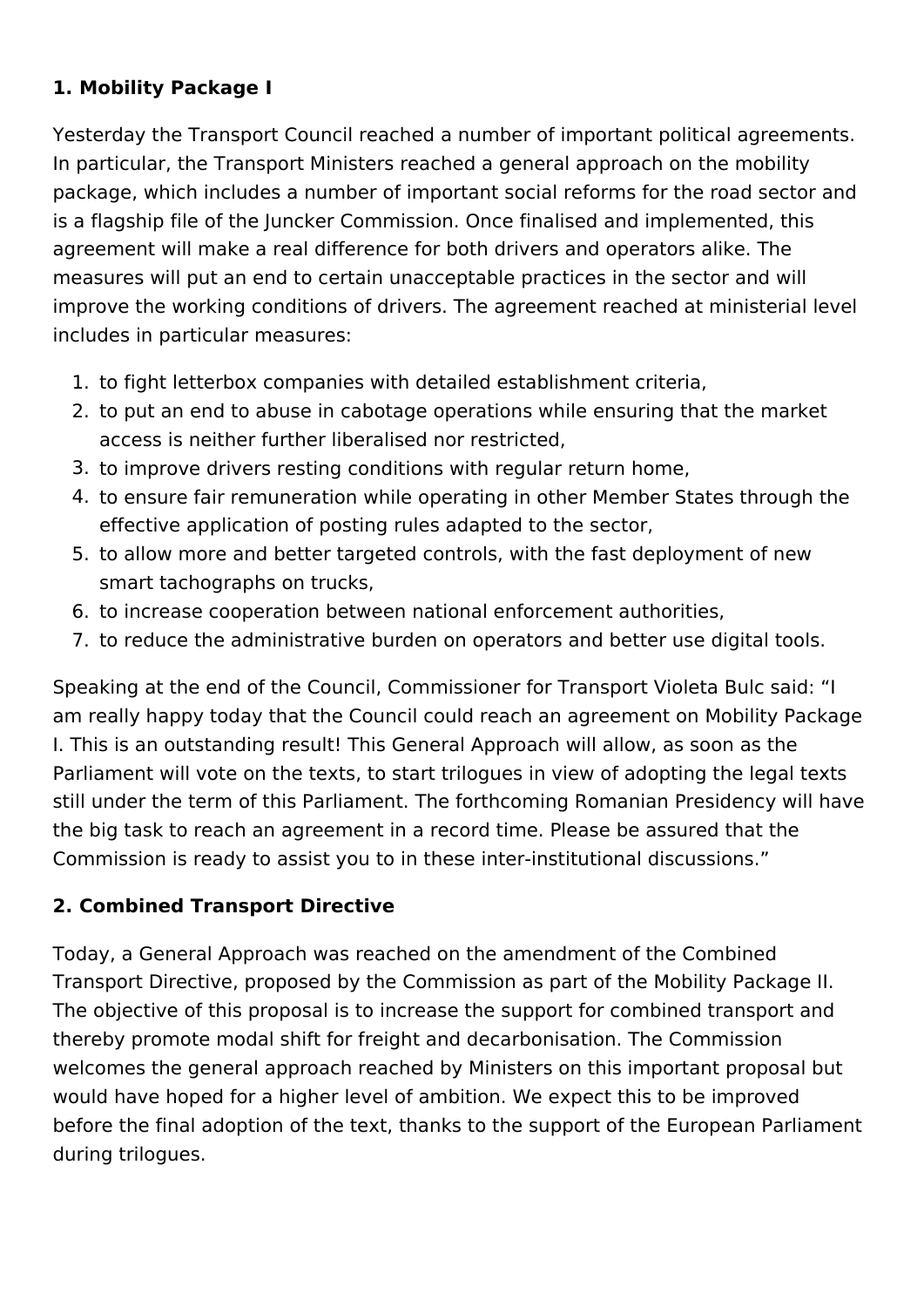## **1. Mobility Package I**

Yesterday the Transport Council reached a number of important political agreements. In particular, the Transport Ministers reached a general approach on the mobility package, which includes a number of important social reforms for the road sector and is a flagship file of the Juncker Commission. Once finalised and implemented, this agreement will make a real difference for both drivers and operators alike. The measures will put an end to certain unacceptable practices in the sector and will improve the working conditions of drivers. The agreement reached at ministerial level includes in particular measures:

- 1. to fight letterbox companies with detailed establishment criteria,
- 2. to put an end to abuse in cabotage operations while ensuring that the market access is neither further liberalised nor restricted,
- 3. to improve drivers resting conditions with regular return home,
- 4. to ensure fair remuneration while operating in other Member States through the effective application of posting rules adapted to the sector,
- 5. to allow more and better targeted controls, with the fast deployment of new smart tachographs on trucks,
- 6. to increase cooperation between national enforcement authorities,
- 7. to reduce the administrative burden on operators and better use digital tools.

Speaking at the end of the Council, Commissioner for Transport Violeta Bulc said: "I am really happy today that the Council could reach an agreement on Mobility Package I. This is an outstanding result! This General Approach will allow, as soon as the Parliament will vote on the texts, to start trilogues in view of adopting the legal texts still under the term of this Parliament. The forthcoming Romanian Presidency will have the big task to reach an agreement in a record time. Please be assured that the Commission is ready to assist you to in these inter-institutional discussions."

## **2. Combined Transport Directive**

Today, a General Approach was reached on the amendment of the Combined Transport Directive, proposed by the Commission as part of the Mobility Package II. The objective of this proposal is to increase the support for combined transport and thereby promote modal shift for freight and decarbonisation. The Commission welcomes the general approach reached by Ministers on this important proposal but would have hoped for a higher level of ambition. We expect this to be improved before the final adoption of the text, thanks to the support of the European Parliament during trilogues.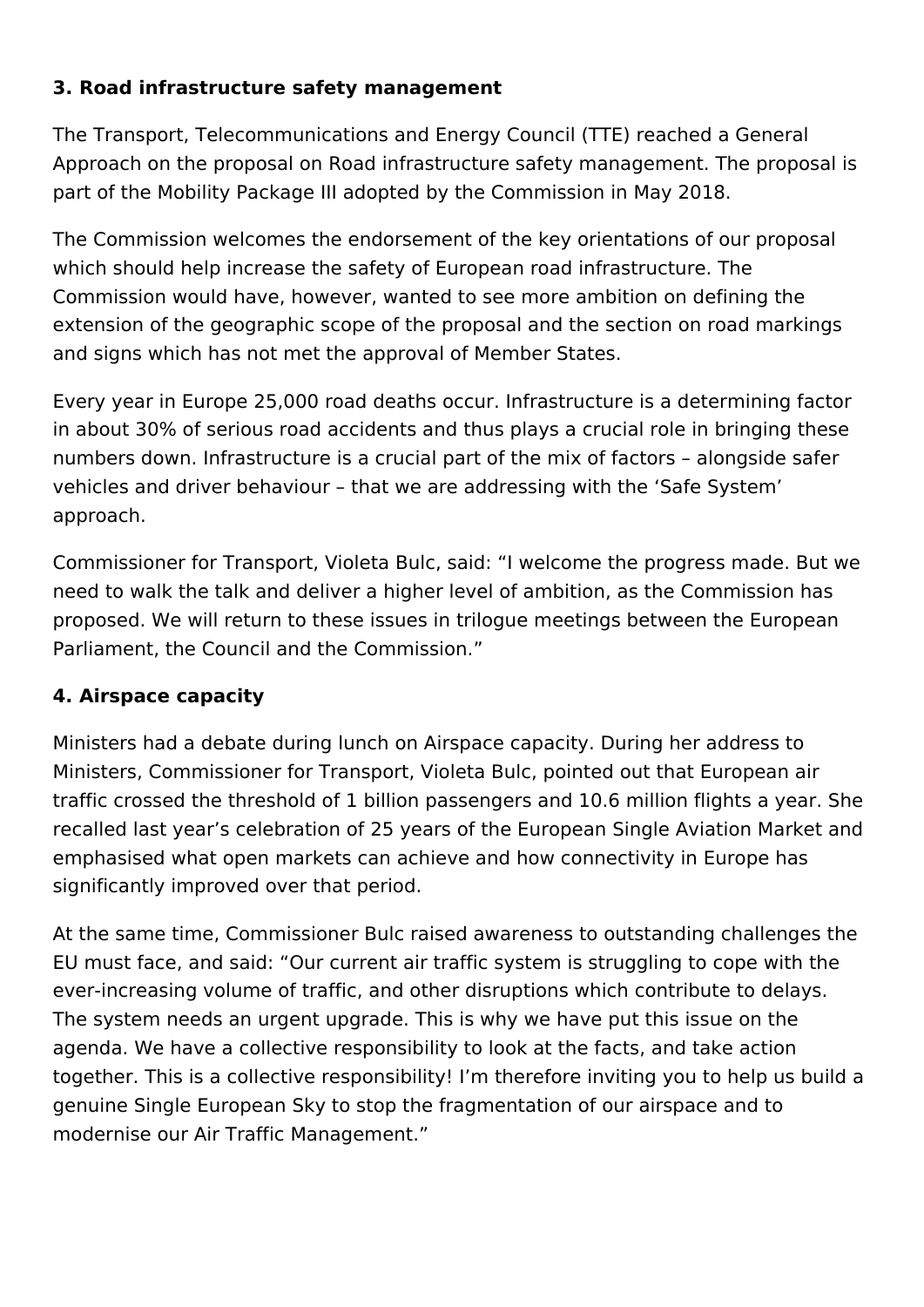### **3. Road infrastructure safety management**

The Transport, Telecommunications and Energy Council (TTE) reached a General Approach on the proposal on Road infrastructure safety management. The proposal is part of the Mobility Package III adopted by the Commission in May 2018.

The Commission welcomes the endorsement of the key orientations of our proposal which should help increase the safety of European road infrastructure. The Commission would have, however, wanted to see more ambition on defining the extension of the geographic scope of the proposal and the section on road markings and signs which has not met the approval of Member States.

Every year in Europe 25,000 road deaths occur. Infrastructure is a determining factor in about 30% of serious road accidents and thus plays a crucial role in bringing these numbers down. Infrastructure is a crucial part of the mix of factors – alongside safer vehicles and driver behaviour – that we are addressing with the 'Safe System' approach.

Commissioner for Transport, Violeta Bulc, said: "I welcome the progress made. But we need to walk the talk and deliver a higher level of ambition, as the Commission has proposed. We will return to these issues in trilogue meetings between the European Parliament, the Council and the Commission."

#### **4. Airspace capacity**

Ministers had a debate during lunch on Airspace capacity. During her address to Ministers, Commissioner for Transport, Violeta Bulc, pointed out that European air traffic crossed the threshold of 1 billion passengers and 10.6 million flights a year. She recalled last year's celebration of 25 years of the European Single Aviation Market and emphasised what open markets can achieve and how connectivity in Europe has significantly improved over that period.

At the same time, Commissioner Bulc raised awareness to outstanding challenges the EU must face, and said: "Our current air traffic system is struggling to cope with the ever-increasing volume of traffic, and other disruptions which contribute to delays. The system needs an urgent upgrade. This is why we have put this issue on the agenda. We have a collective responsibility to look at the facts, and take action together. This is a collective responsibility! I'm therefore inviting you to help us build a genuine Single European Sky to stop the fragmentation of our airspace and to modernise our Air Traffic Management."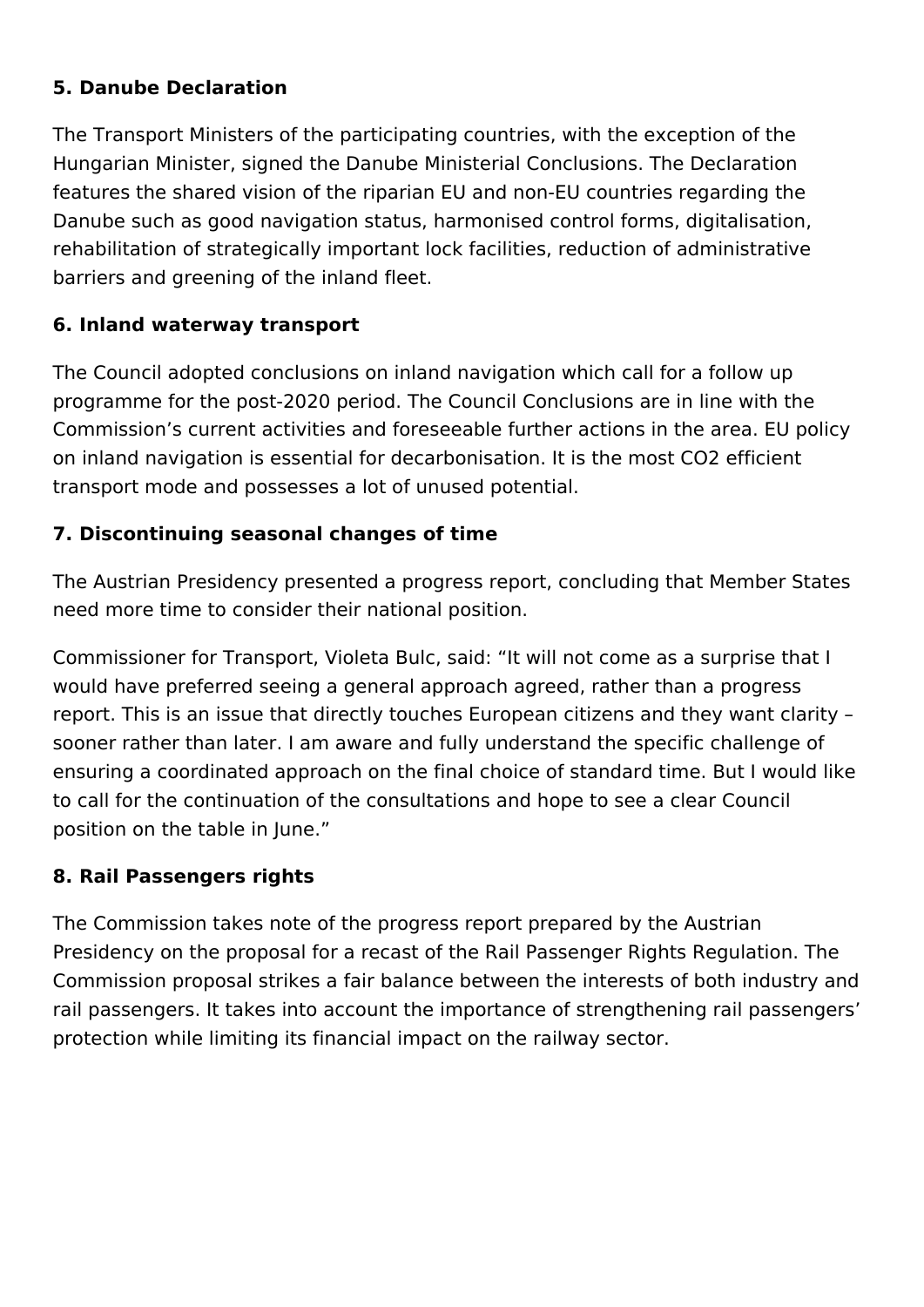#### **5. Danube Declaration**

The Transport Ministers of the participating countries, with the exception of the Hungarian Minister, signed the Danube Ministerial Conclusions. The Declaration features the shared vision of the riparian EU and non-EU countries regarding the Danube such as good navigation status, harmonised control forms, digitalisation, rehabilitation of strategically important lock facilities, reduction of administrative barriers and greening of the inland fleet.

### **6. Inland waterway transport**

The Council adopted conclusions on inland navigation which call for a follow up programme for the post-2020 period. The Council Conclusions are in line with the Commission's current activities and foreseeable further actions in the area. EU policy on inland navigation is essential for decarbonisation. It is the most CO2 efficient transport mode and possesses a lot of unused potential.

### **7. Discontinuing seasonal changes of time**

The Austrian Presidency presented a progress report, concluding that Member States need more time to consider their national position.

Commissioner for Transport, Violeta Bulc, said: "It will not come as a surprise that I would have preferred seeing a general approach agreed, rather than a progress report. This is an issue that directly touches European citizens and they want clarity – sooner rather than later. I am aware and fully understand the specific challenge of ensuring a coordinated approach on the final choice of standard time. But I would like to call for the continuation of the consultations and hope to see a clear Council position on the table in June."

#### **8. Rail Passengers rights**

The Commission takes note of the progress report prepared by the Austrian Presidency on the proposal for a recast of the Rail Passenger Rights Regulation. The Commission proposal strikes a fair balance between the interests of both industry and rail passengers. It takes into account the importance of strengthening rail passengers' protection while limiting its financial impact on the railway sector.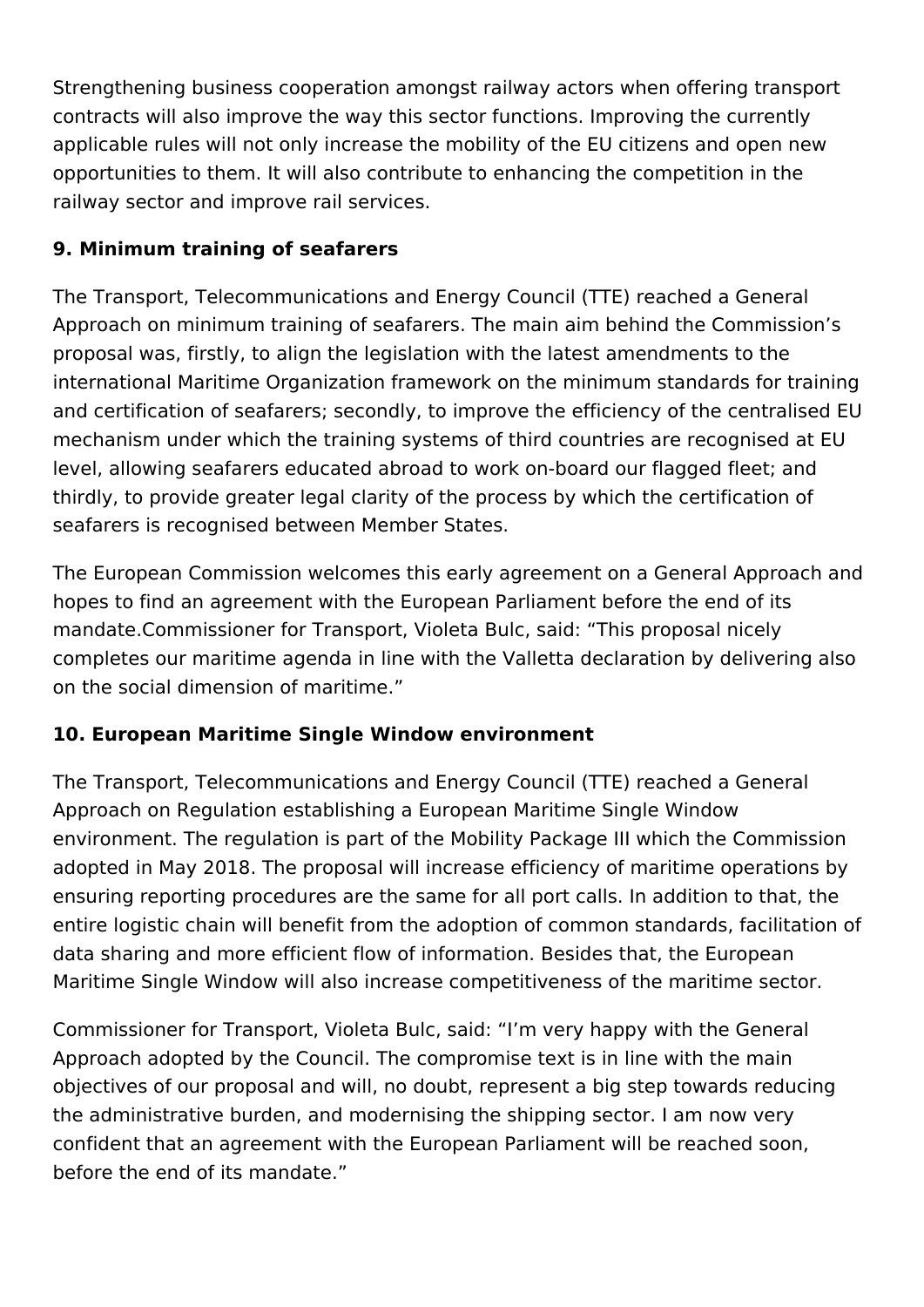Strengthening business cooperation amongst railway actors when offering transport contracts will also improve the way this sector functions. Improving the currently applicable rules will not only increase the mobility of the EU citizens and open new opportunities to them. It will also contribute to enhancing the competition in the railway sector and improve rail services.

## **9. Minimum training of seafarers**

The Transport, Telecommunications and Energy Council (TTE) reached a General Approach on minimum training of seafarers. The main aim behind the Commission's proposal was, firstly, to align the legislation with the latest amendments to the international Maritime Organization framework on the minimum standards for training and certification of seafarers; secondly, to improve the efficiency of the centralised EU mechanism under which the training systems of third countries are recognised at EU level, allowing seafarers educated abroad to work on-board our flagged fleet; and thirdly, to provide greater legal clarity of the process by which the certification of seafarers is recognised between Member States.

The European Commission welcomes this early agreement on a General Approach and hopes to find an agreement with the European Parliament before the end of its mandate.Commissioner for Transport, Violeta Bulc, said: "This proposal nicely completes our maritime agenda in line with the Valletta declaration by delivering also on the social dimension of maritime."

## **10. European Maritime Single Window environment**

The Transport, Telecommunications and Energy Council (TTE) reached a General Approach on Regulation establishing a European Maritime Single Window environment. The regulation is part of the Mobility Package III which the Commission adopted in May 2018. The proposal will increase efficiency of maritime operations by ensuring reporting procedures are the same for all port calls. In addition to that, the entire logistic chain will benefit from the adoption of common standards, facilitation of data sharing and more efficient flow of information. Besides that, the European Maritime Single Window will also increase competitiveness of the maritime sector.

Commissioner for Transport, Violeta Bulc, said: "I'm very happy with the General Approach adopted by the Council. The compromise text is in line with the main objectives of our proposal and will, no doubt, represent a big step towards reducing the administrative burden, and modernising the shipping sector. I am now very confident that an agreement with the European Parliament will be reached soon, before the end of its mandate."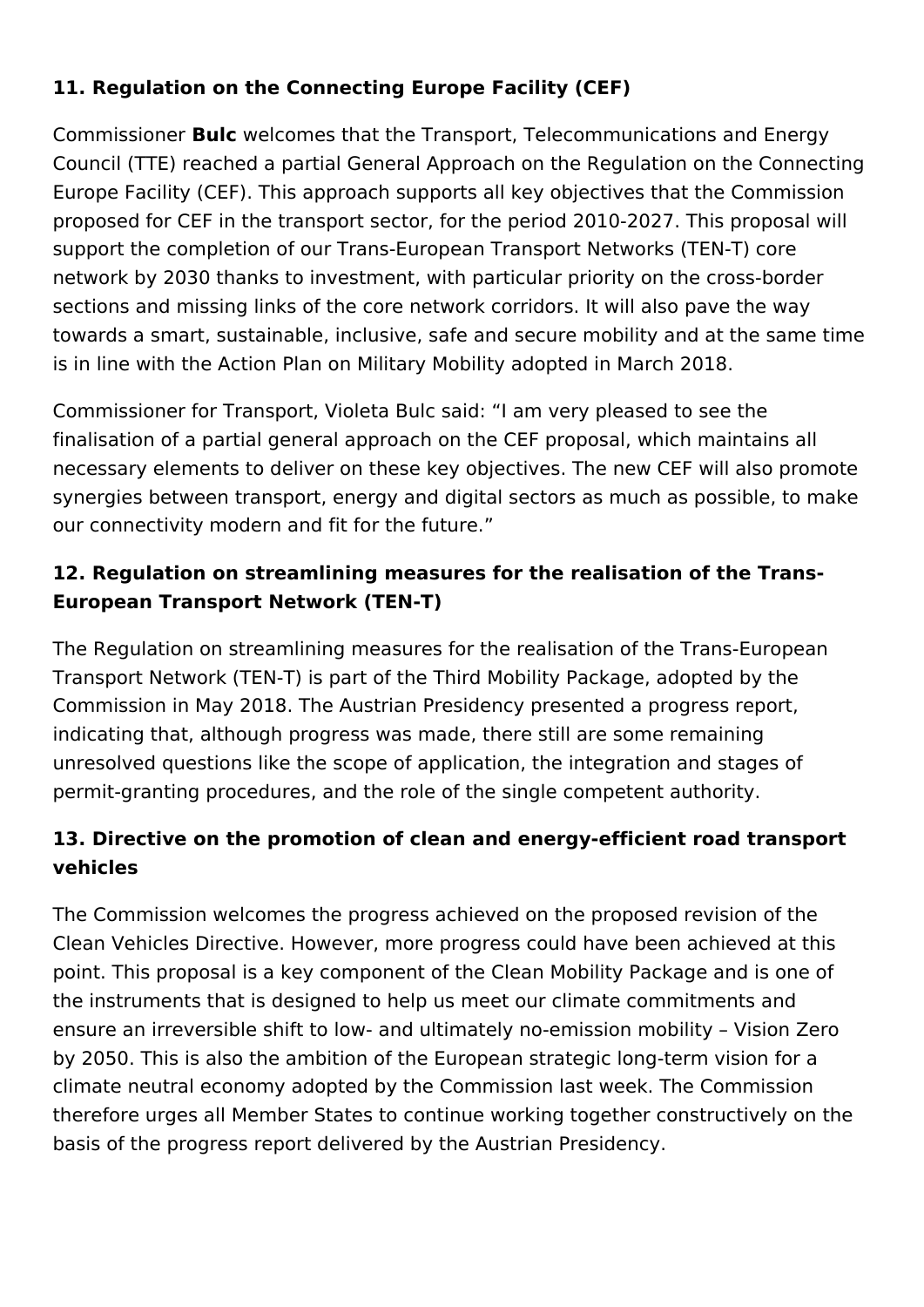## **11. Regulation on the Connecting Europe Facility (CEF)**

Commissioner **Bulc** welcomes that the Transport, Telecommunications and Energy Council (TTE) reached a partial General Approach on the Regulation on the Connecting Europe Facility (CEF). This approach supports all key objectives that the Commission proposed for CEF in the transport sector, for the period 2010-2027. This proposal will support the completion of our Trans-European Transport Networks (TEN-T) core network by 2030 thanks to investment, with particular priority on the cross-border sections and missing links of the core network corridors. It will also pave the way towards a smart, sustainable, inclusive, safe and secure mobility and at the same time is in line with the Action Plan on Military Mobility adopted in March 2018.

Commissioner for Transport, Violeta Bulc said: "I am very pleased to see the finalisation of a partial general approach on the CEF proposal, which maintains all necessary elements to deliver on these key objectives. The new CEF will also promote synergies between transport, energy and digital sectors as much as possible, to make our connectivity modern and fit for the future."

## **12. Regulation on streamlining measures for the realisation of the Trans-European Transport Network (TEN-T)**

The Regulation on streamlining measures for the realisation of the Trans-European Transport Network (TEN-T) is part of the Third Mobility Package, adopted by the Commission in May 2018. The Austrian Presidency presented a progress report, indicating that, although progress was made, there still are some remaining unresolved questions like the scope of application, the integration and stages of permit-granting procedures, and the role of the single competent authority.

## **13. Directive on the promotion of clean and energy-efficient road transport vehicles**

The Commission welcomes the progress achieved on the proposed revision of the Clean Vehicles Directive. However, more progress could have been achieved at this point. This proposal is a key component of the Clean Mobility Package and is one of the instruments that is designed to help us meet our climate commitments and ensure an irreversible shift to low- and ultimately no-emission mobility – Vision Zero by 2050. This is also the ambition of the European strategic long-term vision for a climate neutral economy adopted by the Commission last week. The Commission therefore urges all Member States to continue working together constructively on the basis of the progress report delivered by the Austrian Presidency.